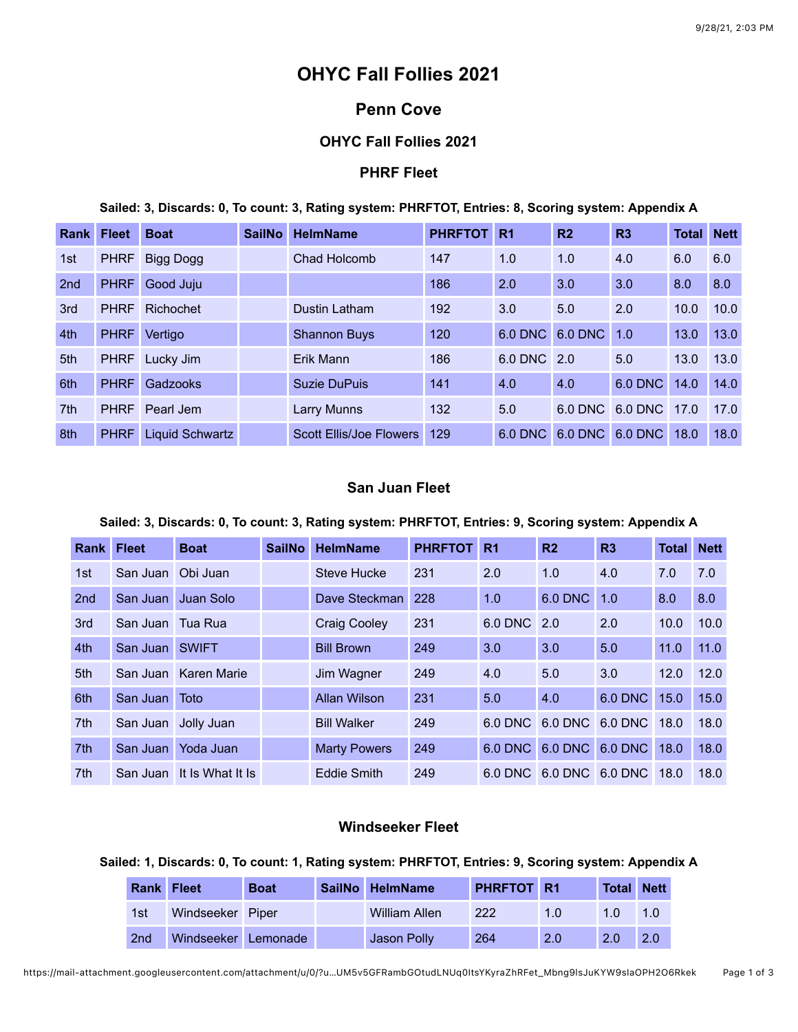# **OHYC Fall Follies 2021**

## **Penn Cove**

## **OHYC Fall Follies 2021**

## **PHRF Fleet**

**Sailed: 3, Discards: 0, To count: 3, Rating system: PHRFTOT, Entries: 8, Scoring system: Appendix A**

| <b>Rank Fleet</b> |             | <b>Boat</b>      | <b>SailNo</b> | <b>HelmName</b>                | <b>PHRFTOT</b> | R <sub>1</sub> | R <sub>2</sub> | R3              | <b>Total Nett</b> |      |
|-------------------|-------------|------------------|---------------|--------------------------------|----------------|----------------|----------------|-----------------|-------------------|------|
| 1st               | <b>PHRF</b> | <b>Bigg Dogg</b> |               | Chad Holcomb                   | 147            | 1.0            | 1.0            | 4.0             | 6.0               | 6.0  |
| 2 <sub>nd</sub>   | <b>PHRF</b> | Good Juju        |               |                                | 186            | 2.0            | 3.0            | 3.0             | 8.0               | 8.0  |
| 3rd               | <b>PHRF</b> | Richochet        |               | Dustin Latham                  | 192            | 3.0            | 5.0            | 2.0             | 10.0              | 10.0 |
| 4th               | <b>PHRF</b> | Vertigo          |               | <b>Shannon Buys</b>            | 120            | <b>6.0 DNC</b> | 6.0 DNC        | 1.0             | 13.0              | 13.0 |
| 5th               | <b>PHRF</b> | Lucky Jim        |               | Erik Mann                      | 186            | 6.0 DNC 2.0    |                | 5.0             | 13.0              | 13.0 |
| 6th               | <b>PHRF</b> | Gadzooks         |               | Suzie DuPuis                   | 141            | 4.0            | 4.0            | 6.0 DNC         | 14.0              | 14.0 |
| 7 <sup>th</sup>   | <b>PHRF</b> | Pearl Jem        |               | Larry Munns                    | 132            | 5.0            |                | 6.0 DNC 6.0 DNC | 17.0              | 17.0 |
| 8th               | <b>PHRF</b> | Liquid Schwartz  |               | <b>Scott Ellis/Joe Flowers</b> | 129            | 6.0 DNC        |                | 6.0 DNC 6.0 DNC | 18.0              | 18.0 |

## **San Juan Fleet**

#### **Sailed: 3, Discards: 0, To count: 3, Rating system: PHRFTOT, Entries: 9, Scoring system: Appendix A**

| <b>Rank</b>     | <b>Fleet</b>      | <b>Boat</b>               | <b>SailNo</b> | <b>HelmName</b>     | <b>PHRFTOT</b> | R <sub>1</sub> | R <sub>2</sub>  | R3             | Total | <b>Nett</b> |
|-----------------|-------------------|---------------------------|---------------|---------------------|----------------|----------------|-----------------|----------------|-------|-------------|
| 1st             | San Juan Obi Juan |                           |               | <b>Steve Hucke</b>  | 231            | 2.0            | 1.0             | 4.0            | 7.0   | 7.0         |
| 2 <sub>nd</sub> |                   | San Juan Juan Solo        |               | Dave Steckman       | 228            | 1.0            | 6.0 DNC         | 1.0            | 8.0   | 8.0         |
| 3rd             | San Juan Tua Rua  |                           |               | <b>Craig Cooley</b> | 231            | 6.0 DNC 2.0    |                 | 2.0            | 10.0  | 10.0        |
| 4th             | San Juan SWIFT    |                           |               | <b>Bill Brown</b>   | 249            | 3.0            | 3.0             | 5.0            | 11.0  | 11.0        |
| 5th             |                   | San Juan Karen Marie      |               | Jim Wagner          | 249            | 4.0            | 5.0             | 3.0            | 12.0  | 12.0        |
| 6th             | San Juan Toto     |                           |               | Allan Wilson        | 231            | 5.0            | 4.0             | <b>6.0 DNC</b> | 15.0  | 15.0        |
| 7th             |                   | San Juan Jolly Juan       |               | <b>Bill Walker</b>  | 249            |                | 6.0 DNC 6.0 DNC | 6.0 DNC 18.0   |       | 18.0        |
| 7th             |                   | San Juan Yoda Juan        |               | <b>Marty Powers</b> | 249            | 6.0 DNC        | 6.0 DNC         | 6.0 DNC 18.0   |       | 18.0        |
| 7 <sup>th</sup> |                   | San Juan It Is What It Is |               | Eddie Smith         | 249            |                | 6.0 DNC 6.0 DNC | 6.0 DNC 18.0   |       | 18.0        |

## **Windseeker Fleet**

#### **Sailed: 1, Discards: 0, To count: 1, Rating system: PHRFTOT, Entries: 9, Scoring system: Appendix A**

| <b>Rank Fleet</b> |                     | <b>Boat</b> | SailNo HelmName      | PHRFTOT R1 |               | Total      | <b>Nett</b> |
|-------------------|---------------------|-------------|----------------------|------------|---------------|------------|-------------|
| 1st               | Windseeker Piper    |             | <b>William Allen</b> | 222        | 1.0           | 1 O        | 1.0         |
| 2nd               | Windseeker Lemonade |             | Jason Polly          | 264        | $2.0^{\circ}$ | <b>2.0</b> | 2.0         |

https://mail-attachment.googleusercontent.com/attachment/u/0/?u…UM5v5GFRambGOtudLNUq0ItsYKyraZhRFet\_Mbng9lsJuKYW9sIaOPH2O6Rkek Page 1 of 3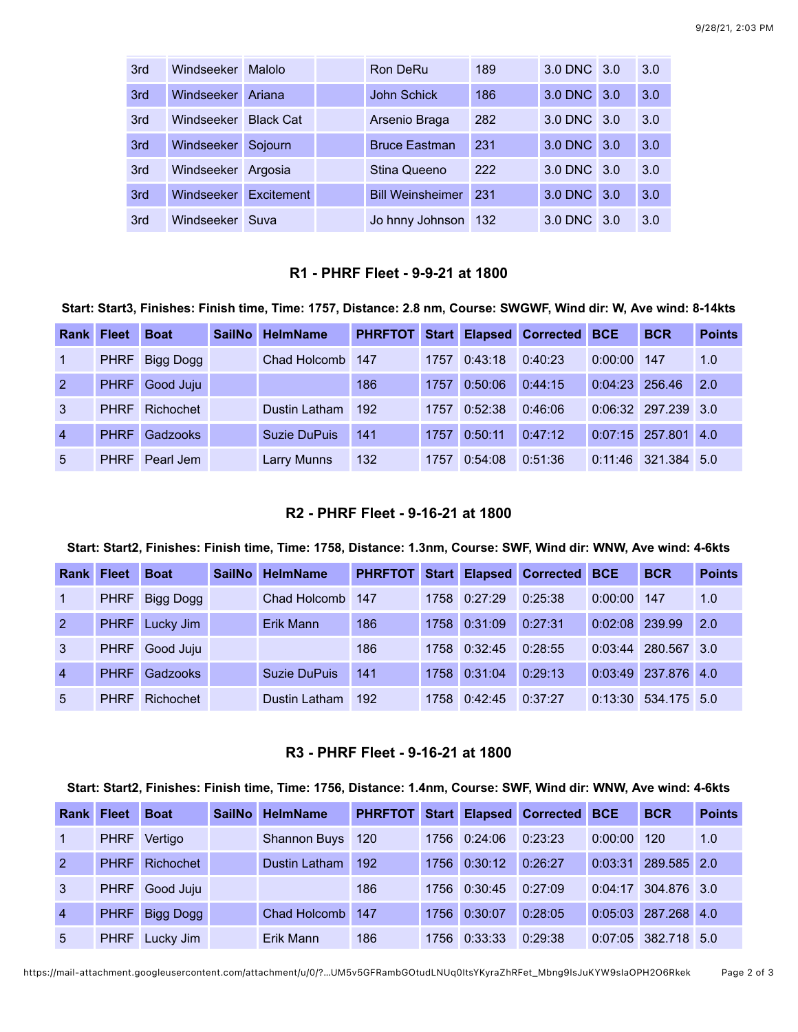| 3rd | <b>Windseeker</b> | Malolo           | Ron DeRu                | 189 | 3.0 DNC 3.0 |     | 3.0 |
|-----|-------------------|------------------|-------------------------|-----|-------------|-----|-----|
| 3rd | Windseeker        | Ariana           | <b>John Schick</b>      | 186 | 3.0 DNC 3.0 |     | 3.0 |
| 3rd | Windseeker        | <b>Black Cat</b> | Arsenio Braga           | 282 | 3.0 DNC 3.0 |     | 3.0 |
| 3rd | Windseeker        | Sojourn          | <b>Bruce Eastman</b>    | 231 | 3.0 DNC     | 3.0 | 3.0 |
| 3rd | Windseeker        | Argosia          | Stina Queeno            | 222 | 3.0 DNC 3.0 |     | 3.0 |
| 3rd | Windseeker        | Excitement       | <b>Bill Weinsheimer</b> | 231 | 3.0 DNC     | 3.0 | 3.0 |
| 3rd | Windseeker        | Suva             | Jo hnny Johnson 132     |     | 3.0 DNC     | 3.O | 3.0 |

#### **R1 - PHRF Fleet - 9-9-21 at 1800**

#### **Start: Start3, Finishes: Finish time, Time: 1757, Distance: 2.8 nm, Course: SWGWF, Wind dir: W, Ave wind: 8-14kts**

| <b>Rank</b>    | <b>Fleet</b> | <b>Boat</b>      | SailNo | <b>HelmName</b>  | <b>PHRFTOT</b> |      |              | Start Elapsed Corrected | <b>BCE</b>       | <b>BCR</b>            | <b>Points</b> |
|----------------|--------------|------------------|--------|------------------|----------------|------|--------------|-------------------------|------------------|-----------------------|---------------|
| 1              | <b>PHRF</b>  | <b>Bigg Dogg</b> |        | Chad Holcomb 147 |                | 1757 | 0:43:18      | 0:40:23                 | 0:00:00          | 147                   | 1.0           |
| 2              | <b>PHRF</b>  | Good Juju        |        |                  | 186            | 1757 | 0:50:06      | 0:44:15                 | $0:04:23$ 256.46 |                       | 2.0           |
| 3              | <b>PHRF</b>  | Richochet        |        | Dustin Latham    | 192            |      | 1757 0:52:38 | 0:46:06                 |                  | $0:06:32$ 297.239 3.0 |               |
| $\overline{4}$ | <b>PHRF</b>  | Gadzooks         |        | Suzie DuPuis     | 141            | 1757 | 0:50:11      | 0:47:12                 |                  | $0:07:15$ 257.801 4.0 |               |
| 5              | <b>PHRF</b>  | Pearl Jem        |        | Larry Munns      | 132            | 1757 | 0:54:08      | 0:51:36                 | 0:11:46          | 321.384 5.0           |               |

## **R2 - PHRF Fleet - 9-16-21 at 1800**

#### **Start: Start2, Finishes: Finish time, Time: 1758, Distance: 1.3nm, Course: SWF, Wind dir: WNW, Ave wind: 4-6kts**

| <b>Rank Fleet</b> |             | <b>Boat</b> | <b>SailNo</b> | <b>HelmName</b>     |     |        |              | PHRFTOT Start Elapsed Corrected BCE |                | <b>BCR</b>            | <b>Points</b> |
|-------------------|-------------|-------------|---------------|---------------------|-----|--------|--------------|-------------------------------------|----------------|-----------------------|---------------|
|                   | <b>PHRF</b> | Bigg Dogg   |               | Chad Holcomb        | 147 |        | 1758 0:27:29 | 0:25:38                             | 0:00:00        | 147                   | 1.0           |
| 2                 | <b>PHRF</b> | Lucky Jim   |               | Erik Mann           | 186 | 1758 l | 0:31:09      | 0:27:31                             | 0:02:08 239.99 |                       | 2.0           |
| 3 <sup>7</sup>    | <b>PHRF</b> | Good Juju   |               |                     | 186 |        | 1758 0:32:45 | 0:28:55                             | 0:03:44        | 280.567               | 3.0           |
| $\overline{4}$    | <b>PHRF</b> | Gadzooks    |               | <b>Suzie DuPuis</b> | 141 | 1758   | 0:31:04      | 0:29:13                             |                | $0:03:49$ 237.876 4.0 |               |
| 5                 | <b>PHRF</b> | Richochet   |               | Dustin Latham       | 192 |        | 1758 0:42:45 | 0:37:27                             | 0:13:30        | 534.175 5.0           |               |

#### **R3 - PHRF Fleet - 9-16-21 at 1800**

#### **Start: Start2, Finishes: Finish time, Time: 1756, Distance: 1.4nm, Course: SWF, Wind dir: WNW, Ave wind: 4-6kts**

| Rank           | <b>Fleet</b> | <b>Boat</b>      | SailNo HelmName  |     |      |              | PHRFTOT Start Elapsed Corrected BCE |         | <b>BCR</b>            | <b>Points</b> |
|----------------|--------------|------------------|------------------|-----|------|--------------|-------------------------------------|---------|-----------------------|---------------|
| $\vert$ 1      |              | PHRF Vertigo     | Shannon Buys 120 |     |      | 1756 0:24:06 | 0:23:23                             | 0:00:00 | 120                   | 1.0           |
| $\overline{2}$ | <b>PHRF</b>  | Richochet        | Dustin Latham    | 192 |      | 1756 0:30:12 | 0:26:27                             | 0:03:31 | 289.585 2.0           |               |
| $\mathbf{3}$   |              | PHRF Good Juju   |                  | 186 |      | 1756 0:30:45 | 0:27:09                             | 0:04:17 | 304.876 3.0           |               |
| $\overline{4}$ | <b>PHRF</b>  | <b>Bigg Dogg</b> | Chad Holcomb 147 |     | 1756 | 0:30:07      | 0:28:05                             |         | $0:05:03$ 287.268 4.0 |               |
| 5              |              | PHRF Lucky Jim   | Erik Mann        | 186 |      | 1756 0:33:33 | 0:29:38                             |         | 0:07:05 382.718 5.0   |               |